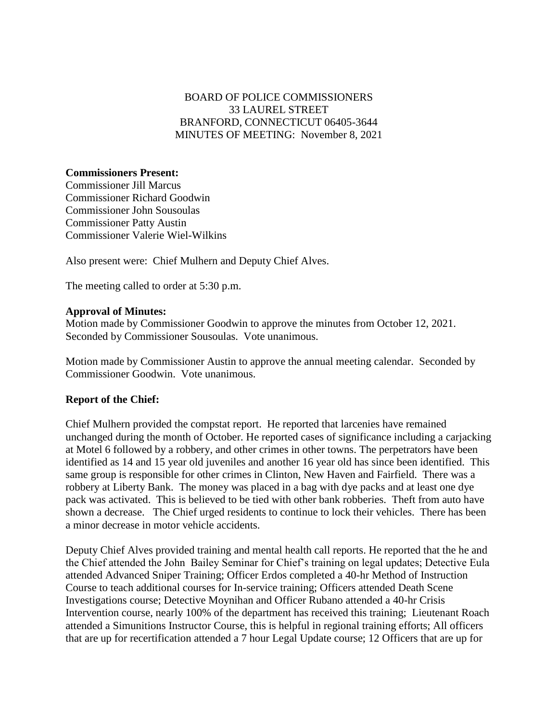## BOARD OF POLICE COMMISSIONERS 33 LAUREL STREET BRANFORD, CONNECTICUT 06405-3644 MINUTES OF MEETING: November 8, 2021

## **Commissioners Present:**

Commissioner Jill Marcus Commissioner Richard Goodwin Commissioner John Sousoulas Commissioner Patty Austin Commissioner Valerie Wiel-Wilkins

Also present were: Chief Mulhern and Deputy Chief Alves.

The meeting called to order at 5:30 p.m.

## **Approval of Minutes:**

Motion made by Commissioner Goodwin to approve the minutes from October 12, 2021. Seconded by Commissioner Sousoulas. Vote unanimous.

Motion made by Commissioner Austin to approve the annual meeting calendar. Seconded by Commissioner Goodwin. Vote unanimous.

## **Report of the Chief:**

Chief Mulhern provided the compstat report. He reported that larcenies have remained unchanged during the month of October. He reported cases of significance including a carjacking at Motel 6 followed by a robbery, and other crimes in other towns. The perpetrators have been identified as 14 and 15 year old juveniles and another 16 year old has since been identified. This same group is responsible for other crimes in Clinton, New Haven and Fairfield. There was a robbery at Liberty Bank. The money was placed in a bag with dye packs and at least one dye pack was activated. This is believed to be tied with other bank robberies. Theft from auto have shown a decrease. The Chief urged residents to continue to lock their vehicles. There has been a minor decrease in motor vehicle accidents.

Deputy Chief Alves provided training and mental health call reports. He reported that the he and the Chief attended the John Bailey Seminar for Chief's training on legal updates; Detective Eula attended Advanced Sniper Training; Officer Erdos completed a 40-hr Method of Instruction Course to teach additional courses for In-service training; Officers attended Death Scene Investigations course; Detective Moynihan and Officer Rubano attended a 40-hr Crisis Intervention course, nearly 100% of the department has received this training; Lieutenant Roach attended a Simunitions Instructor Course, this is helpful in regional training efforts; All officers that are up for recertification attended a 7 hour Legal Update course; 12 Officers that are up for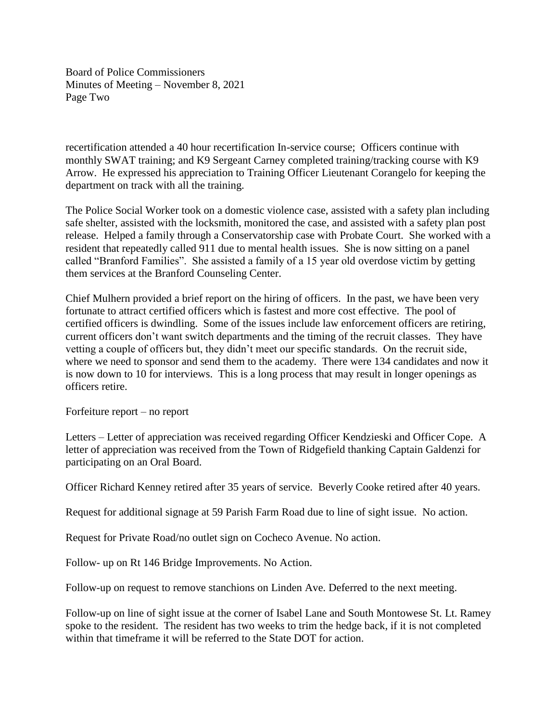Board of Police Commissioners Minutes of Meeting – November 8, 2021 Page Two

recertification attended a 40 hour recertification In-service course; Officers continue with monthly SWAT training; and K9 Sergeant Carney completed training/tracking course with K9 Arrow. He expressed his appreciation to Training Officer Lieutenant Corangelo for keeping the department on track with all the training.

The Police Social Worker took on a domestic violence case, assisted with a safety plan including safe shelter, assisted with the locksmith, monitored the case, and assisted with a safety plan post release. Helped a family through a Conservatorship case with Probate Court. She worked with a resident that repeatedly called 911 due to mental health issues. She is now sitting on a panel called "Branford Families". She assisted a family of a 15 year old overdose victim by getting them services at the Branford Counseling Center.

Chief Mulhern provided a brief report on the hiring of officers. In the past, we have been very fortunate to attract certified officers which is fastest and more cost effective. The pool of certified officers is dwindling. Some of the issues include law enforcement officers are retiring, current officers don't want switch departments and the timing of the recruit classes. They have vetting a couple of officers but, they didn't meet our specific standards. On the recruit side, where we need to sponsor and send them to the academy. There were 134 candidates and now it is now down to 10 for interviews. This is a long process that may result in longer openings as officers retire.

Forfeiture report – no report

Letters – Letter of appreciation was received regarding Officer Kendzieski and Officer Cope. A letter of appreciation was received from the Town of Ridgefield thanking Captain Galdenzi for participating on an Oral Board.

Officer Richard Kenney retired after 35 years of service. Beverly Cooke retired after 40 years.

Request for additional signage at 59 Parish Farm Road due to line of sight issue. No action.

Request for Private Road/no outlet sign on Cocheco Avenue. No action.

Follow- up on Rt 146 Bridge Improvements. No Action.

Follow-up on request to remove stanchions on Linden Ave. Deferred to the next meeting.

Follow-up on line of sight issue at the corner of Isabel Lane and South Montowese St. Lt. Ramey spoke to the resident. The resident has two weeks to trim the hedge back, if it is not completed within that timeframe it will be referred to the State DOT for action.